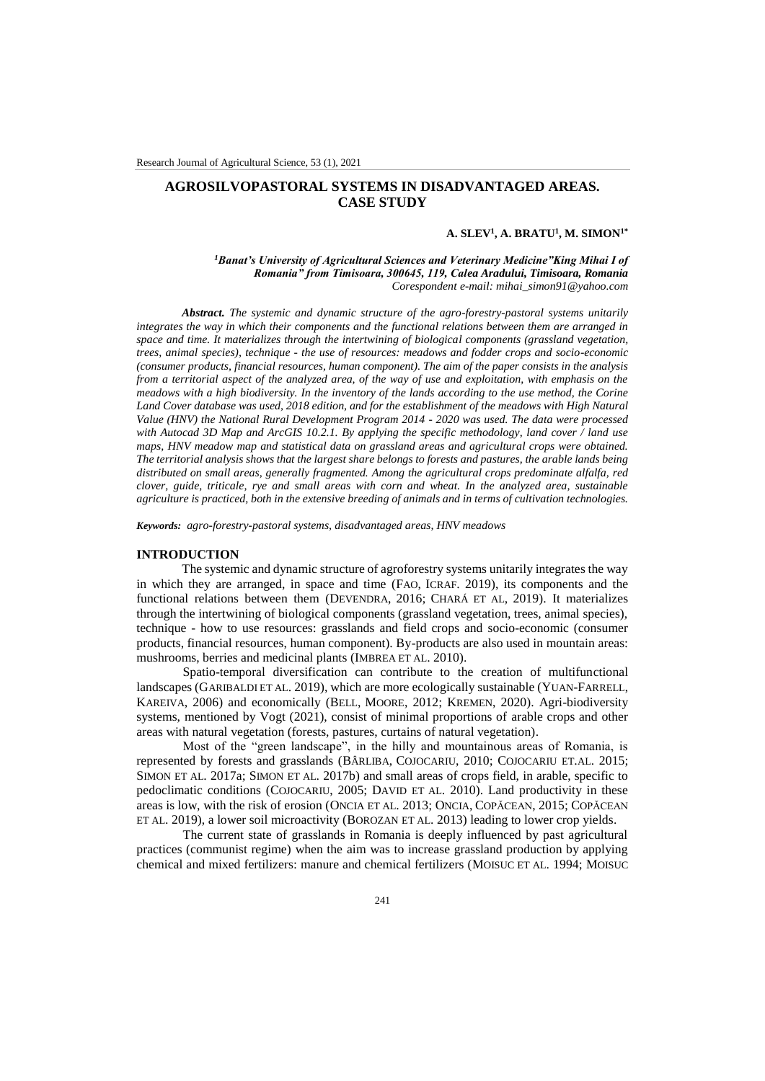# **AGROSILVOPASTORAL SYSTEMS IN DISADVANTAGED AREAS. CASE STUDY**

#### **A. SLEV<sup>1</sup> , A. BRATU<sup>1</sup> , M. SIMON1\***

*<sup>1</sup>Banat's University of Agricultural Sciences and Veterinary Medicine"King Mihai I of Romania" from Timisoara, 300645, 119, Calea Aradului, Timisoara, Romania Corespondent e-mail: mihai\_simon91@yahoo.com*

*Abstract. The systemic and dynamic structure of the agro-forestry-pastoral systems unitarily integrates the way in which their components and the functional relations between them are arranged in space and time. It materializes through the intertwining of biological components (grassland vegetation, trees, animal species), technique - the use of resources: meadows and fodder crops and socio-economic (consumer products, financial resources, human component). The aim of the paper consists in the analysis from a territorial aspect of the analyzed area, of the way of use and exploitation, with emphasis on the meadows with a high biodiversity. In the inventory of the lands according to the use method, the Corine*  Land Cover database was used, 2018 edition, and for the establishment of the meadows with High Natural *Value (HNV) the National Rural Development Program 2014 - 2020 was used. The data were processed with Autocad 3D Map and ArcGIS 10.2.1. By applying the specific methodology, land cover / land use maps, HNV meadow map and statistical data on grassland areas and agricultural crops were obtained. The territorial analysis shows that the largest share belongs to forests and pastures, the arable lands being distributed on small areas, generally fragmented. Among the agricultural crops predominate alfalfa, red clover, guide, triticale, rye and small areas with corn and wheat. In the analyzed area, sustainable agriculture is practiced, both in the extensive breeding of animals and in terms of cultivation technologies.*

*Keywords: agro-forestry-pastoral systems, disadvantaged areas, HNV meadows*

### **INTRODUCTION**

The systemic and dynamic structure of agroforestry systems unitarily integrates the way in which they are arranged, in space and time (FAO, ICRAF. 2019), its components and the functional relations between them (DEVENDRA, 2016; CHARÁ ET AL, 2019). It materializes through the intertwining of biological components (grassland vegetation, trees, animal species), technique - how to use resources: grasslands and field crops and socio-economic (consumer products, financial resources, human component). By-products are also used in mountain areas: mushrooms, berries and medicinal plants (IMBREA ET AL. 2010).

Spatio-temporal diversification can contribute to the creation of multifunctional landscapes (GARIBALDI ET AL. 2019), which are more ecologically sustainable (YUAN-FARRELL, KAREIVA, 2006) and economically (BELL, MOORE, 2012; KREMEN, 2020). Agri-biodiversity systems, mentioned by Vogt (2021), consist of minimal proportions of arable crops and other areas with natural vegetation (forests, pastures, curtains of natural vegetation).

Most of the "green landscape", in the hilly and mountainous areas of Romania, is represented by forests and grasslands (BÂRLIBA, COJOCARIU, 2010; COJOCARIU ET.AL. 2015; SIMON ET AL. 2017a; SIMON ET AL. 2017b) and small areas of crops field, in arable, specific to pedoclimatic conditions (COJOCARIU, 2005; DAVID ET AL. 2010). Land productivity in these areas is low, with the risk of erosion (ONCIA ET AL. 2013; ONCIA, COPĂCEAN, 2015; COPĂCEAN ET AL. 2019), a lower soil microactivity (BOROZAN ET AL. 2013) leading to lower crop yields.

The current state of grasslands in Romania is deeply influenced by past agricultural practices (communist regime) when the aim was to increase grassland production by applying chemical and mixed fertilizers: manure and chemical fertilizers (MOISUC ET AL. 1994; MOISUC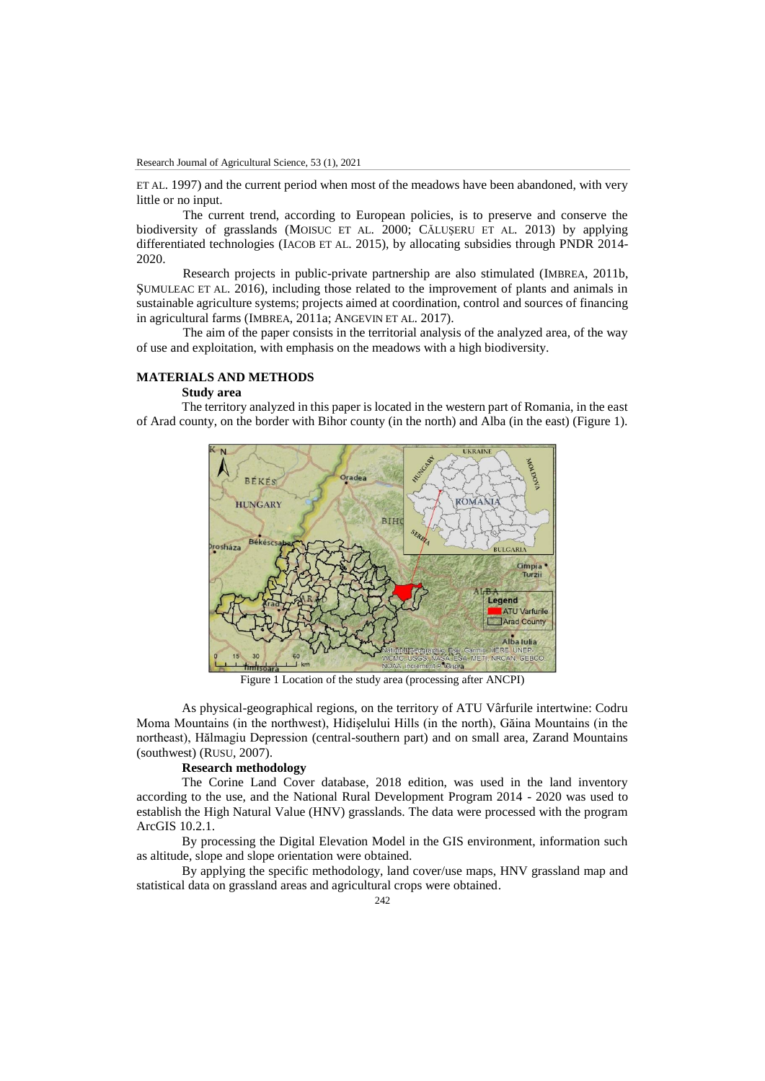ET AL. 1997) and the current period when most of the meadows have been abandoned, with very little or no input.

The current trend, according to European policies, is to preserve and conserve the biodiversity of grasslands (MOISUC ET AL. 2000; CĂLUŞERU ET AL. 2013) by applying differentiated technologies (IACOB ET AL. 2015), by allocating subsidies through PNDR 2014- 2020.

Research projects in public-private partnership are also stimulated (IMBREA, 2011b, ŞUMULEAC ET AL. 2016), including those related to the improvement of plants and animals in sustainable agriculture systems; projects aimed at coordination, control and sources of financing in agricultural farms (IMBREA, 2011a; ANGEVIN ET AL. 2017).

The aim of the paper consists in the territorial analysis of the analyzed area, of the way of use and exploitation, with emphasis on the meadows with a high biodiversity.

# **MATERIALS AND METHODS**

## **Study area**

The territory analyzed in this paper is located in the western part of Romania, in the east of Arad county, on the border with Bihor county (in the north) and Alba (in the east) (Figure 1).



Figure 1 Location of the study area (processing after ANCPI)

As physical-geographical regions, on the territory of ATU Vârfurile intertwine: Codru Moma Mountains (in the northwest), Hidişelului Hills (in the north), Găina Mountains (in the northeast), Hălmagiu Depression (central-southern part) and on small area, Zarand Mountains (southwest) (RUSU, 2007).

### **Research methodology**

The Corine Land Cover database, 2018 edition, was used in the land inventory according to the use, and the National Rural Development Program 2014 - 2020 was used to establish the High Natural Value (HNV) grasslands. The data were processed with the program ArcGIS 10.2.1.

By processing the Digital Elevation Model in the GIS environment, information such as altitude, slope and slope orientation were obtained.

By applying the specific methodology, land cover/use maps, HNV grassland map and statistical data on grassland areas and agricultural crops were obtained.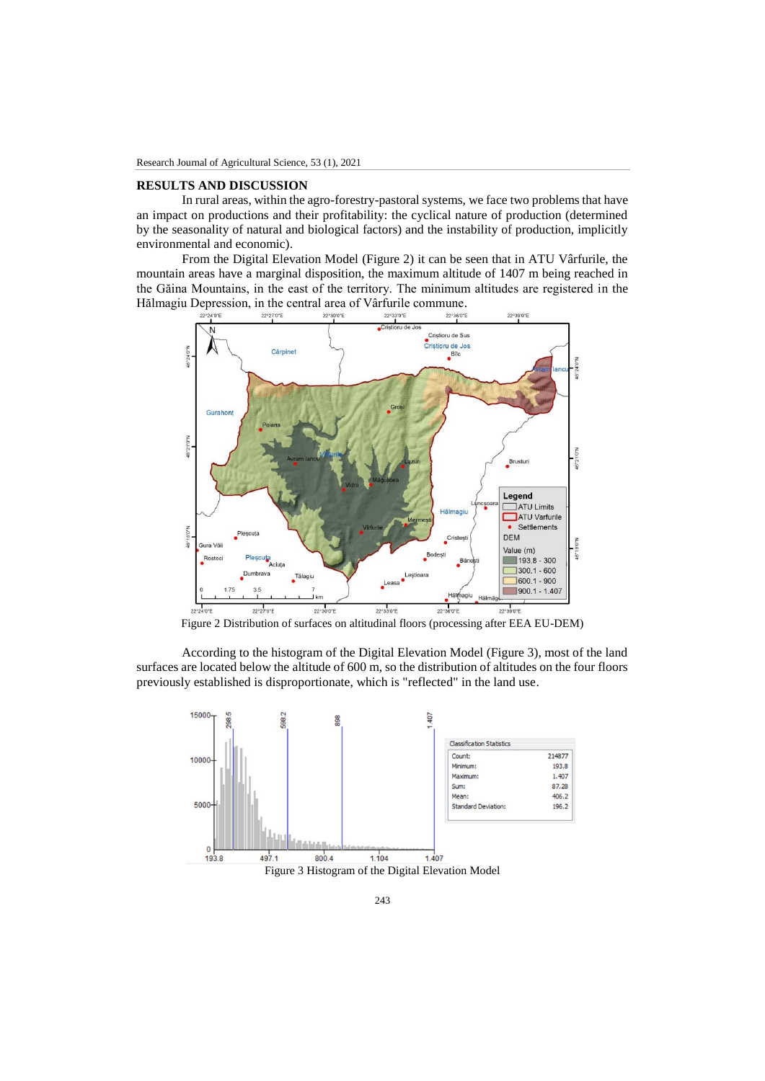### **RESULTS AND DISCUSSION**

In rural areas, within the agro-forestry-pastoral systems, we face two problems that have an impact on productions and their profitability: the cyclical nature of production (determined by the seasonality of natural and biological factors) and the instability of production, implicitly environmental and economic).

From the Digital Elevation Model (Figure 2) it can be seen that in ATU Vârfurile, the mountain areas have a marginal disposition, the maximum altitude of 1407 m being reached in the Găina Mountains, in the east of the territory. The minimum altitudes are registered in the Hălmagiu Depression, in the central area of Vârfurile commune.



Figure 2 Distribution of surfaces on altitudinal floors (processing after EEA EU-DEM)

According to the histogram of the Digital Elevation Model (Figure 3), most of the land surfaces are located below the altitude of 600 m, so the distribution of altitudes on the four floors previously established is disproportionate, which is "reflected" in the land use.

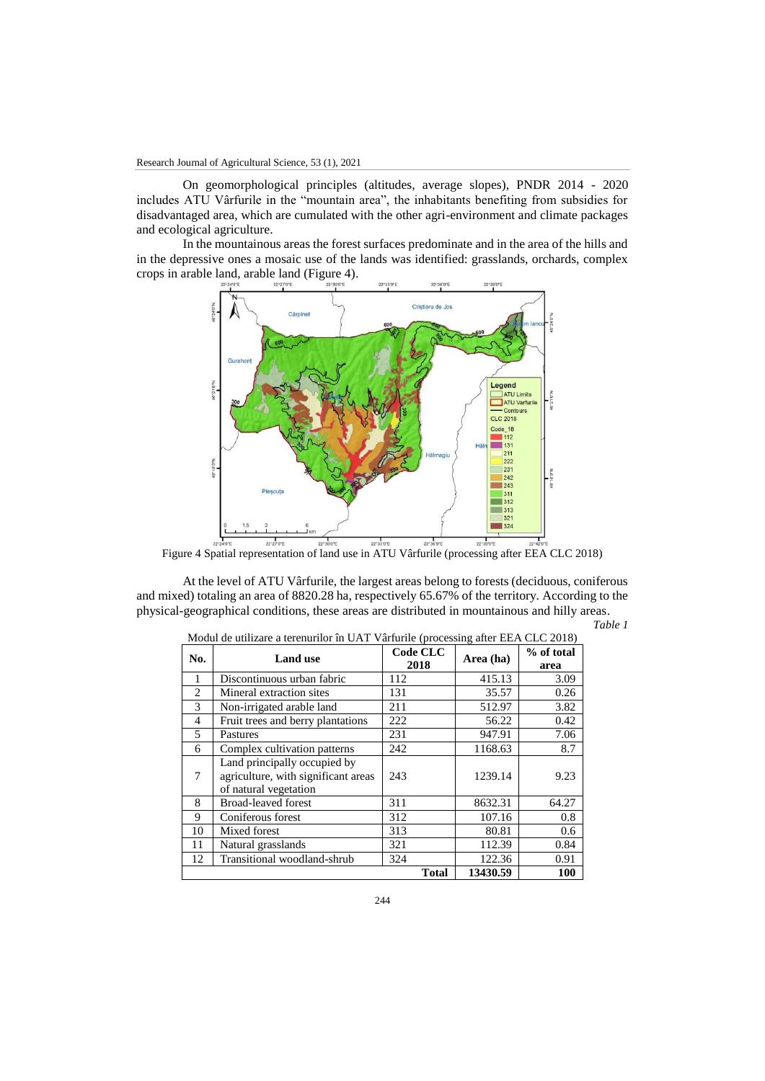On geomorphological principles (altitudes, average slopes), PNDR 2014 - 2020 includes ATU Vârfurile in the "mountain area", the inhabitants benefiting from subsidies for disadvantaged area, which are cumulated with the other agri-environment and climate packages and ecological agriculture.

In the mountainous areas the forest surfaces predominate and in the area of the hills and in the depressive ones a mosaic use of the lands was identified: grasslands, orchards, complex crops in arable land, arable land (Figure 4).



Figure 4 Spatial representation of land use in ATU Vârfurile (processing after EEA CLC 2018)

At the level of ATU Vârfurile, the largest areas belong to forests (deciduous, coniferous and mixed) totaling an area of 8820.28 ha, respectively 65.67% of the territory. According to the physical-geographical conditions, these areas are distributed in mountainous and hilly areas. *Table 1*

| No.            | <b>Land use</b>                     | Code CLC     | Area (ha) | % of total |
|----------------|-------------------------------------|--------------|-----------|------------|
|                |                                     | 2018         |           | area       |
| 1              | Discontinuous urban fabric          | 112          | 415.13    | 3.09       |
| 2              | Mineral extraction sites            | 131          | 35.57     | 0.26       |
| 3              | Non-irrigated arable land           | 211          | 512.97    | 3.82       |
| $\overline{4}$ | Fruit trees and berry plantations   | 222          | 56.22     | 0.42       |
| 5              | Pastures                            | 231          | 947.91    | 7.06       |
| 6              | Complex cultivation patterns        | 242          | 1168.63   | 8.7        |
|                | Land principally occupied by        |              |           |            |
| 7              | agriculture, with significant areas | 243          | 1239.14   | 9.23       |
|                | of natural vegetation               |              |           |            |
| 8              | <b>Broad-leaved forest</b>          | 311          | 8632.31   | 64.27      |
| 9              | Coniferous forest                   | 312          | 107.16    | 0.8        |
| 10             | Mixed forest                        | 313          | 80.81     | 0.6        |
| 11             | Natural grasslands                  | 321          | 112.39    | 0.84       |
| 12             | Transitional woodland-shrub         | 324          | 122.36    | 0.91       |
|                |                                     | <b>Total</b> | 13430.59  | 100        |

| Modul de utilizare a terenurilor în UAT Vârfurile (processing after EEA CLC 2018) |  |  |  |
|-----------------------------------------------------------------------------------|--|--|--|
|-----------------------------------------------------------------------------------|--|--|--|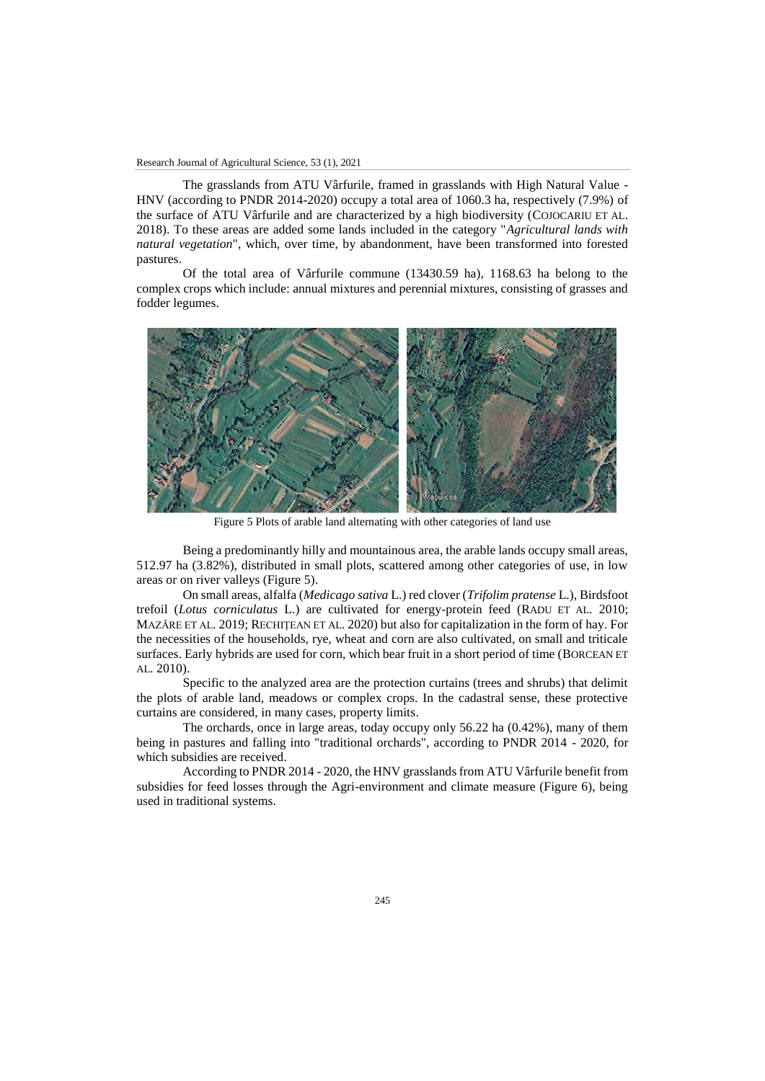The grasslands from ATU Vârfurile, framed in grasslands with High Natural Value - HNV (according to PNDR 2014-2020) occupy a total area of 1060.3 ha, respectively (7.9%) of the surface of ATU Vârfurile and are characterized by a high biodiversity (COJOCARIU ET AL. 2018). To these areas are added some lands included in the category "*Agricultural lands with natural vegetation*", which, over time, by abandonment, have been transformed into forested pastures.

Of the total area of Vârfurile commune (13430.59 ha), 1168.63 ha belong to the complex crops which include: annual mixtures and perennial mixtures, consisting of grasses and fodder legumes.



Figure 5 Plots of arable land alternating with other categories of land use

Being a predominantly hilly and mountainous area, the arable lands occupy small areas, 512.97 ha (3.82%), distributed in small plots, scattered among other categories of use, in low areas or on river valleys (Figure 5).

On small areas, alfalfa (*Medicago sativa* L.) red clover (*Trifolim pratense* L.), Birdsfoot trefoil (*Lotus corniculatus* L.) are cultivated for energy-protein feed (RADU ET AL. 2010; MAZĂRE ET AL. 2019; RECHIŢEAN ET AL. 2020) but also for capitalization in the form of hay. For the necessities of the households, rye, wheat and corn are also cultivated, on small and triticale surfaces. Early hybrids are used for corn, which bear fruit in a short period of time (BORCEAN ET AL. 2010).

Specific to the analyzed area are the protection curtains (trees and shrubs) that delimit the plots of arable land, meadows or complex crops. In the cadastral sense, these protective curtains are considered, in many cases, property limits.

The orchards, once in large areas, today occupy only 56.22 ha (0.42%), many of them being in pastures and falling into "traditional orchards", according to PNDR 2014 - 2020, for which subsidies are received.

According to PNDR 2014 - 2020, the HNV grasslands from ATU Vârfurile benefit from subsidies for feed losses through the Agri-environment and climate measure (Figure 6), being used in traditional systems.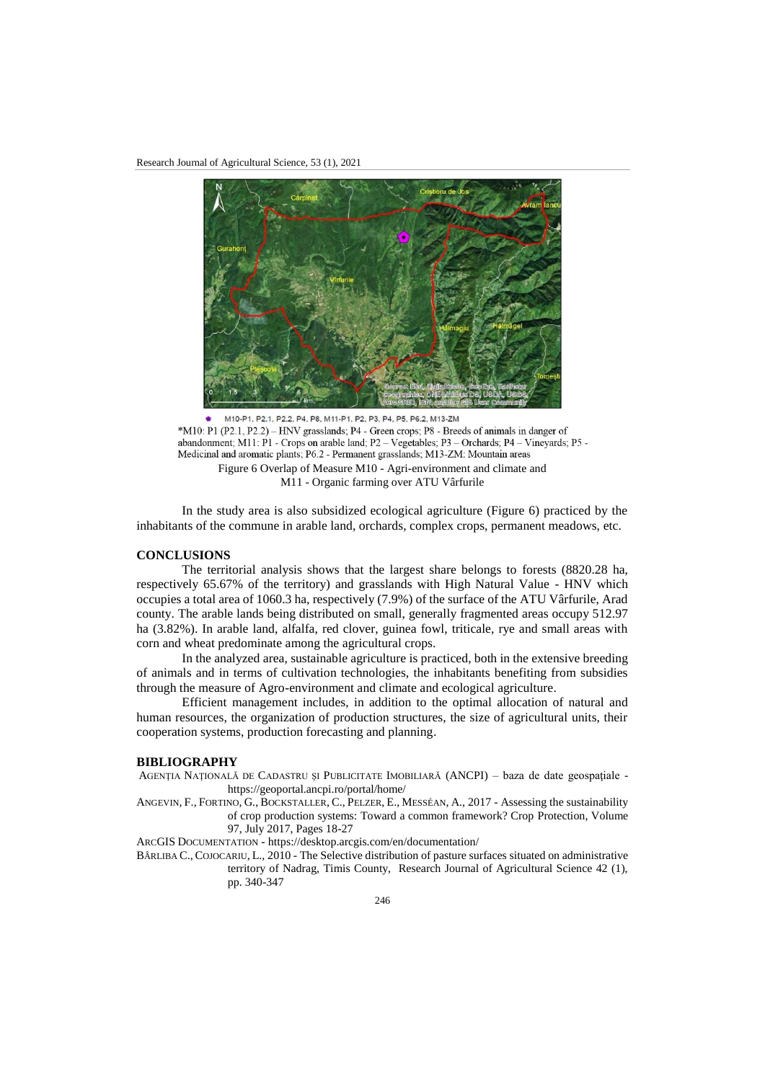

M10-P1, P2.1, P2.2, P4, P8, M11-P1, P2, P3, P4, P5, P6.2, M13-ZM \*M10: P1 (P2.1, P2.2) – HNV grasslands; P4 - Green crops; P8 - Breeds of animals in danger of abandonment; M11: P1 - Crops on arable land; P2 - Vegetables; P3 - Orchards; P4 - Vineyards; P5 -Medicinal and aromatic plants; P6.2 - Permanent grasslands; M13-ZM: Mountain areas Figure 6 Overlap of Measure M10 - Agri-environment and climate and M11 - Organic farming over ATU Vârfurile

In the study area is also subsidized ecological agriculture (Figure 6) practiced by the inhabitants of the commune in arable land, orchards, complex crops, permanent meadows, etc.

### **CONCLUSIONS**

The territorial analysis shows that the largest share belongs to forests (8820.28 ha, respectively 65.67% of the territory) and grasslands with High Natural Value - HNV which occupies a total area of 1060.3 ha, respectively (7.9%) of the surface of the ATU Vârfurile, Arad county. The arable lands being distributed on small, generally fragmented areas occupy 512.97 ha (3.82%). In arable land, alfalfa, red clover, guinea fowl, triticale, rye and small areas with corn and wheat predominate among the agricultural crops.

In the analyzed area, sustainable agriculture is practiced, both in the extensive breeding of animals and in terms of cultivation technologies, the inhabitants benefiting from subsidies through the measure of Agro-environment and climate and ecological agriculture.

Efficient management includes, in addition to the optimal allocation of natural and human resources, the organization of production structures, the size of agricultural units, their cooperation systems, production forecasting and planning.

### **BIBLIOGRAPHY**

- AGENŢIA NAŢIONALĂ DE CADASTRU ŞI PUBLICITATE IMOBILIARĂ (ANCPI) baza de date geospaţiale https://geoportal.ancpi.ro/portal/home/
- ANGEVIN, F., FORTINO, G., BOCKSTALLER, C., PELZER, E., MESSÉAN, A., 2017 Assessing the sustainability of crop production systems: Toward a common framework? Crop Protection, Volume 97, July 2017, Pages 18-27

ARCGIS DOCUMENTATION - <https://desktop.arcgis.com/en/documentation/>

BÂRLIBA C., COJOCARIU, L., 2010 - The Selective distribution of pasture surfaces situated on administrative territory of Nadrag, Timis County, Research Journal of Agricultural Science 42 (1), pp. 340-347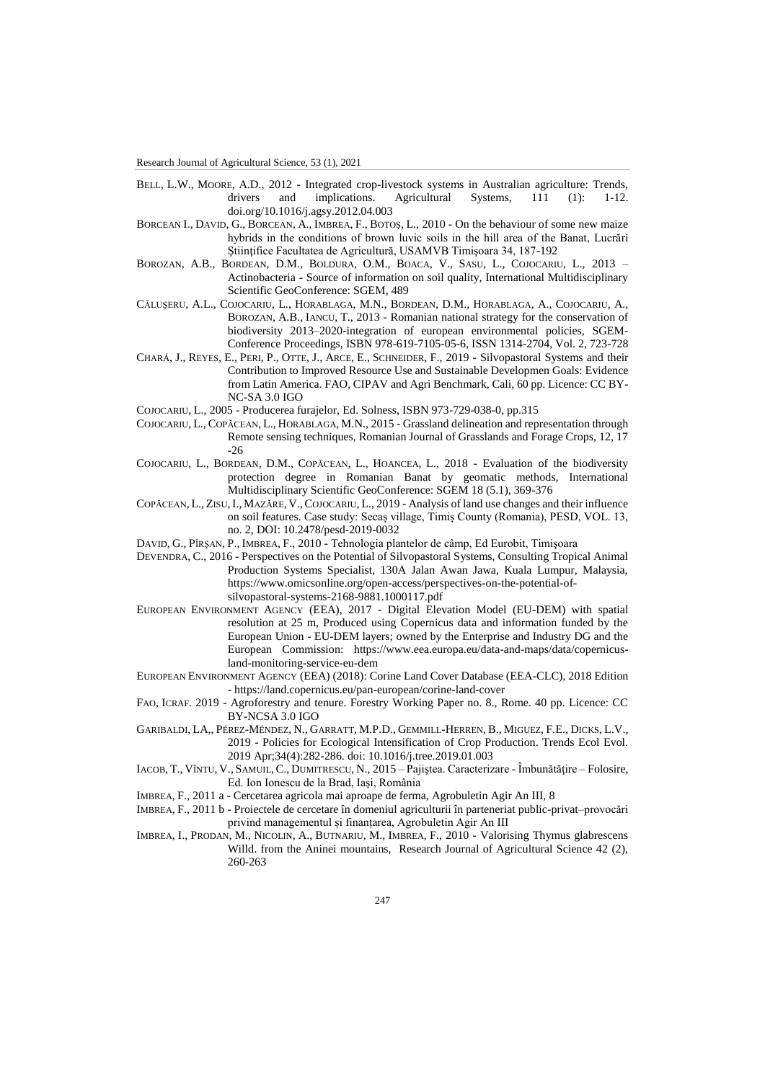- BELL, L.W., MOORE, A.D., 2012 Integrated crop-livestock systems in Australian agriculture: Trends, drivers and implications. Agricultural Systems, 111 (1): 1-12. doi.org/10.1016/j.agsy.2012.04.003
- BORCEAN I., DAVID, G., BORCEAN, A., IMBREA, F., BOTOŞ, L., 2010 On the behaviour of some new maize hybrids in the conditions of brown luvic soils in the hill area of the Banat, Lucrări Ştiinţifice Facultatea de Agricultură, USAMVB Timişoara 34, 187-192
- BOROZAN, A.B., BORDEAN, D.M., BOLDURA, O.M., BOACA, V., SASU, L., COJOCARIU, L., 2013 Actinobacteria - Source of information on soil quality, International Multidisciplinary Scientific GeoConference: SGEM, 489
- CĂLUŞERU, A.L., COJOCARIU, L., HORABLAGA, M.N., BORDEAN, D.M., HORABLAGA, A., COJOCARIU, A., BOROZAN, A.B., IANCU, T., 2013 - Romanian national strategy for the conservation of biodiversity 2013–2020-integration of european environmental policies, SGEM-Conference Proceedings, ISBN 978-619-7105-05-6, ISSN 1314-2704, Vol. 2, 723-728
- CHARÁ, J., REYES, E., PERI, P., OTTE, J., ARCE, E., SCHNEIDER, F., 2019 Silvopastoral Systems and their Contribution to Improved Resource Use and Sustainable Developmen Goals: Evidence from Latin America. FAO, CIPAV and Agri Benchmark, Cali, 60 pp. Licence: CC BY-NC-SA 3.0 IGO
- COJOCARIU, L., 2005 Producerea furajelor, Ed. Solness, ISBN 973-729-038-0, pp.315
- COJOCARIU, L., COPĂCEAN, L., HORABLAGA, M.N., 2015 Grassland delineation and representation through Remote sensing techniques, Romanian Journal of Grasslands and Forage Crops, 12, 17 -26
- COJOCARIU, L., BORDEAN, D.M., COPĂCEAN, L., HOANCEA, L., 2018 Evaluation of the biodiversity protection degree in Romanian Banat by geomatic methods, International Multidisciplinary Scientific GeoConference: SGEM 18 (5.1), 369-376
- COPĂCEAN, L., ZISU,I., MAZĂRE, V.,COJOCARIU, L., 2019 Analysis of land use changes and their influence on soil features. Case study: Secaș village, Timiș County (Romania), PESD, VOL. 13, no. 2, DOI: 10.2478/pesd-2019-0032
- DAVID, G., PÎRŞAN, P., IMBREA, F., 2010 Tehnologia plantelor de câmp, Ed Eurobit, Timişoara
- DEVENDRA, C., 2016 Perspectives on the Potential of Silvopastoral Systems, Consulting Tropical Animal Production Systems Specialist, 130A Jalan Awan Jawa, Kuala Lumpur, Malaysia, [https://www.omicsonline.org/open-access/perspectives-on-the-potential-of](https://www.omicsonline.org/open-access/perspectives-on-the-potential-of-silvopastoral-systems-2168-9881.1000117.pdf)[silvopastoral-systems-2168-9881.1000117.pdf](https://www.omicsonline.org/open-access/perspectives-on-the-potential-of-silvopastoral-systems-2168-9881.1000117.pdf)
- EUROPEAN ENVIRONMENT AGENCY (EEA), 2017 Digital Elevation Model (EU-DEM) with spatial resolution at 25 m, Produced using Copernicus data and information funded by the European Union - EU-DEM layers; owned by the Enterprise and Industry DG and the European Commission: [https://www.eea.europa.eu/data-and-maps/data/copernicus](https://www.eea.europa.eu/data-and-maps/data/copernicus-land-monitoring-service-eu-dem)[land-monitoring-service-eu-dem](https://www.eea.europa.eu/data-and-maps/data/copernicus-land-monitoring-service-eu-dem)
- EUROPEAN ENVIRONMENT AGENCY (EEA) (2018): Corine Land Cover Database (EEA-CLC), 2018 Edition - <https://land.copernicus.eu/pan-european/corine-land-cover>
- FAO, ICRAF. 2019 Agroforestry and tenure. Forestry Working Paper no. 8., Rome. 40 pp. Licence: CC BY-NCSA 3.0 IGO
- GARIBALDI, LA,, PÉREZ-MÉNDEZ, N., GARRATT, M.P.D., GEMMILL-HERREN, B., MIGUEZ, F.E., DICKS, L.V., 2019 - Policies for Ecological Intensification of Crop Production. Trends Ecol Evol. 2019 Apr;34(4):282-286. doi: 10.1016/j.tree.2019.01.003
- IACOB, T., VÎNTU, V., SAMUIL,C., DUMITRESCU, N., 2015 Pajiştea. Caracterizare Îmbunătăţire Folosire, Ed. Ion Ionescu de la Brad, Iaşi, România
- IMBREA, F., 2011 a Cercetarea agricola mai aproape de ferma, Agrobuletin Agir An III, 8
- IMBREA, F., 2011 b Proiectele de cercetare în domeniul agriculturii în parteneriat public-privat–provocări privind managementul și finanțarea, Agrobuletin Agir An III
- IMBREA, I., PRODAN, M., NICOLIN, A., BUTNARIU, M., IMBREA, F., 2010 Valorising Thymus glabrescens Willd. from the Aninei mountains, Research Journal of Agricultural Science 42 (2), 260-263